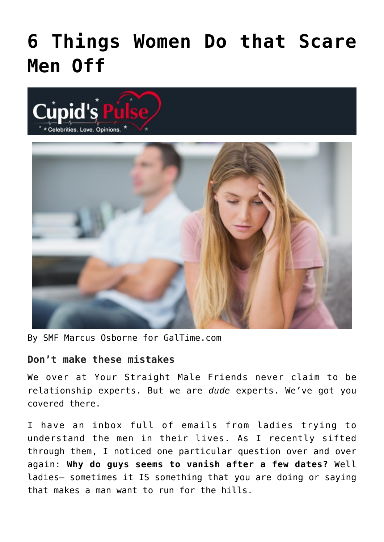## **[6 Things Women Do that Scare](https://cupidspulse.com/37399/6-things-women-do-scare-men-off/) [Men Off](https://cupidspulse.com/37399/6-things-women-do-scare-men-off/)**





By SMF Marcus Osborne for GalTime.com

## **Don't make these mistakes**

We over at Your Straight Male Friends never claim to be relationship experts. But we are *dude* experts. We've got you covered there.

I have an inbox full of emails from ladies trying to understand the men in their lives. As I recently sifted through them, I noticed one particular question over and over again: **Why do guys seems to vanish after a few dates?** Well ladies– sometimes it IS something that you are doing or saying that makes a man want to run for the hills.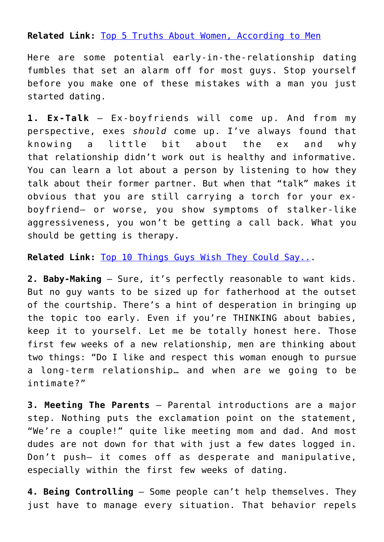**Related Link:** [Top 5 Truths About Women, According to Men](http://www.galtime.com)

Here are some potential early-in-the-relationship dating fumbles that set an alarm off for most guys. Stop yourself before you make one of these mistakes with a man you just started dating.

**1. Ex-Talk** – Ex-boyfriends will come up. And from my perspective, exes *should* come up. I've always found that knowing a little bit about the ex and why that relationship didn't work out is healthy and informative. You can learn a lot about a person by listening to how they talk about their former partner. But when that "talk" makes it obvious that you are still carrying a torch for your exboyfriend– or worse, you show symptoms of stalker-like aggressiveness, you won't be getting a call back. What you should be getting is therapy.

**Related Link:** [Top 10 Things Guys Wish They Could Say..](http://www.galtime.com).

**2. Baby-Making** – Sure, it's perfectly reasonable to want kids. But no guy wants to be sized up for fatherhood at the outset of the courtship. There's a hint of desperation in bringing up the topic too early. Even if you're THINKING about babies, keep it to yourself. Let me be totally honest here. Those first few weeks of a new relationship, men are thinking about two things: "Do I like and respect this woman enough to pursue a long-term relationship… and when are we going to be intimate?"

**3. Meeting The Parents** – Parental introductions are a major step. Nothing puts the exclamation point on the statement, "We're a couple!" quite like meeting mom and dad. And most dudes are not down for that with just a few dates logged in. Don't push– it comes off as desperate and manipulative, especially within the first few weeks of dating.

**4. Being Controlling** – Some people can't help themselves. They just have to manage every situation. That behavior repels